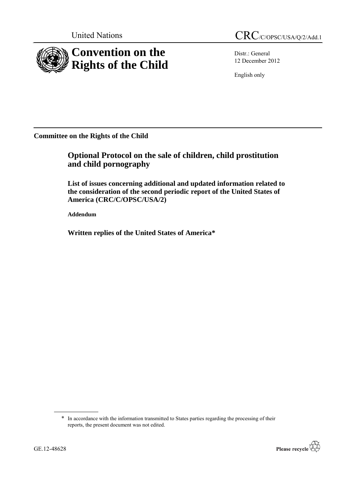

Distr.: General 12 December 2012

English only

**Committee on the Rights of the Child**

**Optional Protocol on the sale of children, child prostitution and child pornography**

**List of issues concerning additional and updated information related to the consideration of the second periodic report of the United States of America (CRC/C/OPSC/USA/2)**

**Addendum**

**Written replies of the United States of America\***

<sup>\*</sup> In accordance with the information transmitted to States parties regarding the processing of their reports, the present document was not edited.

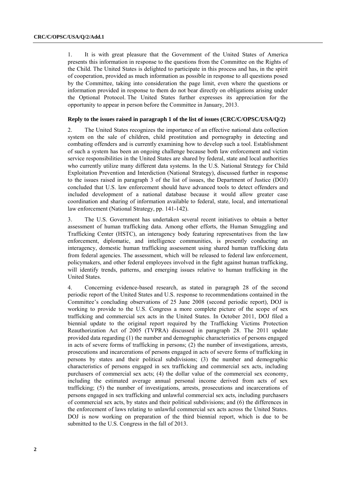1. It is with great pleasure that the Government of the United States of America presents this information in response to the questions from the Committee on the Rights of the Child. The United States is delighted to participate in this process and has, in the spirit of cooperation, provided as much information as possible in response to all questions posed by the Committee, taking into consideration the page limit, even where the questions or information provided in response to them do not bear directly on obligations arising under the Optional Protocol. The United States further expresses its appreciation for the opportunity to appear in person before the Committee in January, 2013.

# **Reply to the issues raised in paragraph 1 of the list of issues (CRC/C/OPSC/USA/Q/2)**

2. The United States recognizes the importance of an effective national data collection system on the sale of children, child prostitution and pornography in detecting and combating offenders and is currently examining how to develop such a tool. Establishment of such a system has been an ongoing challenge because both law enforcement and victim service responsibilities in the United States are shared by federal, state and local authorities who currently utilize many different data systems. In the U.S. National Strategy for Child Exploitation Prevention and Interdiction (National Strategy), discussed further in response to the issues raised in paragraph 3 of the list of issues, the Department of Justice (DOJ) concluded that U.S. law enforcement should have advanced tools to detect offenders and included development of a national database because it would allow greater case coordination and sharing of information available to federal, state, local, and international law enforcement (National Strategy, pp. 141-142).

3. The U.S. Government has undertaken several recent initiatives to obtain a better assessment of human trafficking data. Among other efforts, the Human Smuggling and Trafficking Center (HSTC), an interagency body featuring representatives from the law enforcement, diplomatic, and intelligence communities, is presently conducting an interagency, domestic human trafficking assessment using shared human trafficking data from federal agencies. The assessment, which will be released to federal law enforcement, policymakers, and other federal employees involved in the fight against human trafficking, will identify trends, patterns, and emerging issues relative to human trafficking in the United States.

4. Concerning evidence-based research, as stated in paragraph 28 of the second periodic report of the United States and U.S. response to recommendations contained in the Committee's concluding observations of 25 June 2008 (second periodic report), DOJ is working to provide to the U.S. Congress a more complete picture of the scope of sex trafficking and commercial sex acts in the United States. In October 2011, DOJ filed a biennial update to the original report required by the Trafficking Victims Protection Reauthorization Act of 2005 (TVPRA) discussed in paragraph 28. The 2011 update provided data regarding (1) the number and demographic characteristics of persons engaged in acts of severe forms of trafficking in persons; (2) the number of investigations, arrests, prosecutions and incarcerations of persons engaged in acts of severe forms of trafficking in persons by states and their political subdivisions; (3) the number and demographic characteristics of persons engaged in sex trafficking and commercial sex acts, including purchasers of commercial sex acts; (4) the dollar value of the commercial sex economy, including the estimated average annual personal income derived from acts of sex trafficking; (5) the number of investigations, arrests, prosecutions and incarcerations of persons engaged in sex trafficking and unlawful commercial sex acts, including purchasers of commercial sex acts, by states and their political subdivisions; and (6) the differences in the enforcement of laws relating to unlawful commercial sex acts across the United States. DOJ is now working on preparation of the third biennial report, which is due to be submitted to the U.S. Congress in the fall of 2013.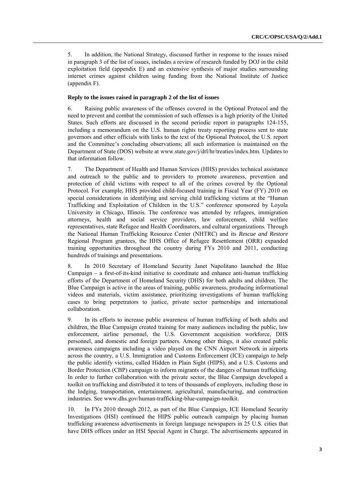5. In addition, the National Strategy, discussed further in response to the issues raised in paragraph 3 of the list of issues, includes a review of research funded by DOJ in the child exploitation field (appendix E) and an extensive synthesis of major studies surrounding internet crimes against children using funding from the National Institute of Justice (appendix F).

# **Reply to the issues raised in paragraph 2 of the list of issues**

6. Raising public awareness of the offenses covered in the Optional Protocol and the need to prevent and combat the commission of such offenses is a high priority of the United States. Such efforts are discussed in the second periodic report in paragraphs 124-155, including a memorandum on the U.S. human rights treaty reporting process sent to state governors and other officials with links to the text of the Optional Protocol, the U.S. report and the Committee's concluding observations; all such information is maintained on the Department of State (DOS) website at www.state.gov/j/drl/hr/treaties/index.htm. Updates to that information follow.

7. The Department of Health and Human Services (HHS) provides technical assistance and outreach to the public and to providers to promote awareness, prevention and protection of child victims with respect to all of the crimes covered by the Optional Protocol. For example, HHS provided child-focused training in Fiscal Year (FY) 2010 on special considerations in identifying and serving child trafficking victims at the "Human" Trafficking and Exploitation of Children in the U.S." conference sponsored by Loyola University in Chicago, Illinois. The conference was attended by refugees, immigration attorneys, health and social service providers, law enforcement, child welfare representatives, state Refugee and Health Coordinators, and cultural organizations. Through the National Human Trafficking Resource Center (NHTRC) and its *Rescue and Restore* Regional Program grantees, the HHS Office of Refugee Resettlement (ORR) expanded training opportunities throughout the country during FYs 2010 and 2011, conducting hundreds of trainings and presentations.

8. In 2010 Secretary of Homeland Security Janet Napolitano launched the Blue Campaign – a first-of-its-kind initiative to coordinate and enhance anti-human trafficking efforts of the Department of Homeland Security (DHS) for both adults and children. The Blue Campaign is active in the areas of training, public awareness, producing informational videos and materials, victim assistance, prioritizing investigations of human trafficking cases to bring perpetrators to justice, private sector partnerships and international collaboration.

9. In its efforts to increase public awareness of human trafficking of both adults and children, the Blue Campaign created training for many audiences including the public, law enforcement, airline personnel, the U.S. Government acquisition workforce, DHS personnel, and domestic and foreign partners. Among other things, it also created public awareness campaigns including a video played on the CNN Airport Network in airports across the country, a U.S. Immigration and Customs Enforcement (ICE) campaign to help the public identify victims, called Hidden in Plain Sight (HIPS), and a U.S. Customs and Border Protection (CBP) campaign to inform migrants of the dangers of human trafficking. In order to further collaboration with the private sector, the Blue Campaign developed a toolkit on trafficking and distributed it to tens of thousands of employers, including those in the lodging, transportation, entertainment, agricultural, manufacturing, and construction industries. See www.dhs.gov/human-trafficking-blue-campaign-toolkit.

10. In FYs 2010 through 2012, as part of the Blue Campaign, ICE Homeland Security Investigations (HSI) continued the HIPS public outreach campaign by placing human trafficking awareness advertisements in foreign language newspapers in 25 U.S. cities that have DHS offices under an HSI Special Agent in Charge. The advertisements appeared in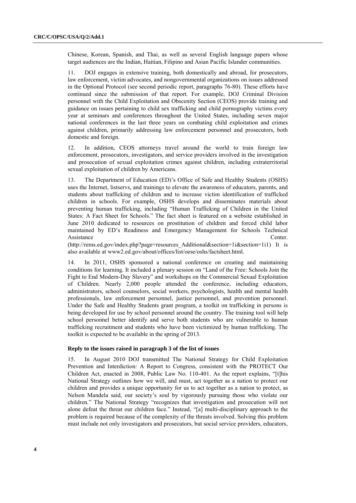Chinese, Korean, Spanish, and Thai, as well as several English language papers whose target audiences are the Indian, Haitian, Filipino and Asian Pacific Islander communities.

11. DOJ engages in extensive training, both domestically and abroad, for prosecutors, law enforcement, victim advocates, and nongovernmental organizations on issues addressed in the Optional Protocol (see second periodic report, paragraphs 76-80). These efforts have continued since the submission of that report. For example, DOJ Criminal Division personnel with the Child Exploitation and Obscenity Section (CEOS) provide training and guidance on issues pertaining to child sex trafficking and child pornography victims every year at seminars and conferences throughout the United States, including seven major national conferences in the last three years on combating child exploitation and crimes against children, primarily addressing law enforcement personnel and prosecutors, both domestic and foreign.

12. In addition, CEOS attorneys travel around the world to train foreign law enforcement, prosecutors, investigators, and service providers involved in the investigation and prosecution of sexual exploitation crimes against children, including extraterritorial sexual exploitation of children by Americans.

13. The Department of Education (ED)'s Office of Safe and Healthy Students (OSHS) uses the Internet, listservs, and trainings to elevate the awareness of educators, parents, and students about trafficking of children and to increase victim identification of trafficked children in schools. For example, OSHS develops and disseminates materials about preventing human trafficking, including "Human Trafficking of Children in the United States: A Fact Sheet for Schools." The fact sheet is featured on a website established in June 2010 dedicated to resources on prostitution of children and forced child labor maintained by ED's Readiness and Emergency Management for Schools Technical Assistance Center.

(http://rems.ed.gov/index.php?page=resources\_Additional&section=1i&section=1i1) It is also available at www2.ed.gov/about/offices/list/oese/oshs/factsheet.html.

14. In 2011, OSHS sponsored a national conference on creating and maintaining conditions for learning. It included a plenary session on "Land of the Free: Schools Join the Fight to End Modern-Day Slavery" and workshops on the Commercial Sexual Exploitation of Children. Nearly 2,000 people attended the conference, including educators, administrators, school counselors, social workers, psychologists, health and mental health professionals, law enforcement personnel, justice personnel, and prevention personnel. Under the Safe and Healthy Students grant program, a toolkit on trafficking in persons is being developed for use by school personnel around the country. The training tool will help school personnel better identify and serve both students who are vulnerable to human trafficking recruitment and students who have been victimized by human trafficking. The toolkit is expected to be available in the spring of 2013.

## **Reply to the issues raised in paragraph 3 of the list of issues**

15. In August 2010 DOJ transmitted The National Strategy for Child Exploitation Prevention and Interdiction: A Report to Congress, consistent with the PROTECT Our Children Act, enacted in 2008, Public Law No.  $110-401$ . As the report explains, "[t]his National Strategy outlines how we will, and must, act together as a nation to protect our children and provides a unique opportunity for us to act together as a nation to protect, as Nelson Mandela said, our society's soul by vigorously pursuing those who violate our children." The National Strategy "recognizes that investigation and prosecution will not alone defeat the threat our children face." Instead, "[a] multi-disciplinary approach to the problem is required because of the complexity of the threats involved. Solving this problem must include not only investigators and prosecutors, but social service providers, educators,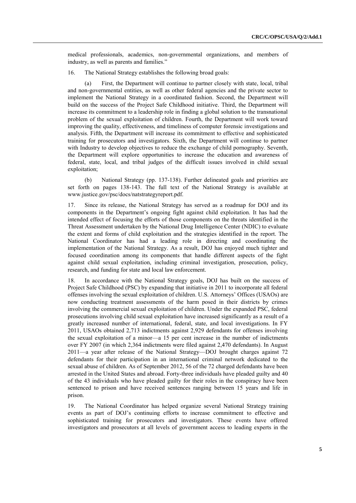medical professionals, academics, non-governmental organizations, and members of industry, as well as parents and families."

16. The National Strategy establishes the following broad goals:

(a) First, the Department will continue to partner closely with state, local, tribal and non-governmental entities, as well as other federal agencies and the private sector to implement the National Strategy in a coordinated fashion. Second, the Department will build on the success of the Project Safe Childhood initiative. Third, the Department will increase its commitment to a leadership role in finding a global solution to the transnational problem of the sexual exploitation of children. Fourth, the Department will work toward improving the quality, effectiveness, and timeliness of computer forensic investigations and analysis. Fifth, the Department will increase its commitment to effective and sophisticated training for prosecutors and investigators. Sixth, the Department will continue to partner with Industry to develop objectives to reduce the exchange of child pornography. Seventh, the Department will explore opportunities to increase the education and awareness of federal, state, local, and tribal judges of the difficult issues involved in child sexual exploitation;

(b) National Strategy (pp. 137-138). Further delineated goals and priorities are set forth on pages 138-143. The full text of the National Strategy is available at www.justice.gov/psc/docs/natstrategyreport.pdf.

17. Since its release, the National Strategy has served as a roadmap for DOJ and its components in the Department's ongoing fight against child exploitation. It has had the intended effect of focusing the efforts of those components on the threats identified in the Threat Assessment undertaken by the National Drug Intelligence Center (NDIC) to evaluate the extent and forms of child exploitation and the strategies identified in the report. The National Coordinator has had a leading role in directing and coordinating the implementation of the National Strategy. As a result, DOJ has enjoyed much tighter and focused coordination among its components that handle different aspects of the fight against child sexual exploitation, including criminal investigation, prosecution, policy, research, and funding for state and local law enforcement.

18. In accordance with the National Strategy goals, DOJ has built on the success of Project Safe Childhood (PSC) by expanding that initiative in 2011 to incorporate all federal offenses involving the sexual exploitation of children. U.S. Attorneys' Offices (USAOs) are now conducting treatment assessments of the harm posed in their districts by crimes involving the commercial sexual exploitation of children. Under the expanded PSC, federal prosecutions involving child sexual exploitation have increased significantly as a result of a greatly increased number of international, federal, state, and local investigations. In FY 2011, USAOs obtained 2,713 indictments against 2,929 defendants for offenses involving the sexual exploitation of a minor—a 15 per cent increase in the number of indictments over FY 2007 (in which 2,364 indictments were filed against 2,470 defendants). In August 2011—a year after release of the National Strategy—DOJ brought charges against 72 defendants for their participation in an international criminal network dedicated to the sexual abuse of children. As of September 2012, 56 of the 72 charged defendants have been arrested in the United States and abroad. Forty-three individuals have pleaded guilty and 40 of the 43 individuals who have pleaded guilty for their roles in the conspiracy have been sentenced to prison and have received sentences ranging between 15 years and life in prison.

19. The National Coordinator has helped organize several National Strategy training events as part of DOJ's continuing efforts to increase commitment to effective and sophisticated training for prosecutors and investigators. These events have offered investigators and prosecutors at all levels of government access to leading experts in the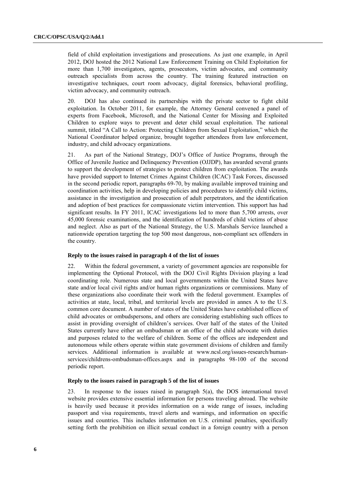field of child exploitation investigations and prosecutions. As just one example, in April 2012, DOJ hosted the 2012 National Law Enforcement Training on Child Exploitation for more than 1,700 investigators, agents, prosecutors, victim advocates, and community outreach specialists from across the country. The training featured instruction on investigative techniques, court room advocacy, digital forensics, behavioral profiling, victim advocacy, and community outreach.

20. DOJ has also continued its partnerships with the private sector to fight child exploitation. In October 2011, for example, the Attorney General convened a panel of experts from Facebook, Microsoft, and the National Center for Missing and Exploited Children to explore ways to prevent and deter child sexual exploitation. The national summit, titled "A Call to Action: Protecting Children from Sexual Exploitation," which the National Coordinator helped organize, brought together attendees from law enforcement, industry, and child advocacy organizations.

21. As part of the National Strategy, DOJ's Office of Justice Programs, through the Office of Juvenile Justice and Delinquency Prevention (OJJDP), has awarded several grants to support the development of strategies to protect children from exploitation. The awards have provided support to Internet Crimes Against Children (ICAC) Task Forces, discussed in the second periodic report, paragraphs 69-70, by making available improved training and coordination activities, help in developing policies and procedures to identify child victims, assistance in the investigation and prosecution of adult perpetrators, and the identification and adoption of best practices for compassionate victim intervention. This support has had significant results. In FY 2011, ICAC investigations led to more than 5,700 arrests, over 45,000 forensic examinations, and the identification of hundreds of child victims of abuse and neglect. Also as part of the National Strategy, the U.S. Marshals Service launched a nationwide operation targeting the top 500 most dangerous, non-compliant sex offenders in the country.

# **Reply to the issues raised in paragraph 4 of the list of issues**

22. Within the federal government, a variety of government agencies are responsible for implementing the Optional Protocol, with the DOJ Civil Rights Division playing a lead coordinating role. Numerous state and local governments within the United States have state and/or local civil rights and/or human rights organizations or commissions. Many of these organizations also coordinate their work with the federal government. Examples of activities at state, local, tribal, and territorial levels are provided in annex A to the U.S. common core document. A number of states of the United States have established offices of child advocates or ombudspersons, and others are considering establishing such offices to assist in providing oversight of children's services. Over half of the states of the United States currently have either an ombudsman or an office of the child advocate with duties and purposes related to the welfare of children. Some of the offices are independent and autonomous while others operate within state government divisions of children and family services. Additional information is available at [www.ncsl.org/issues-research/human](http://www.ncsl.org/issues-research/human-services/childrens-ombudsman-offices.aspx)[services/childrens-ombudsman-offices.aspx](http://www.ncsl.org/issues-research/human-services/childrens-ombudsman-offices.aspx) and in paragraphs 98-100 of the second periodic report.

#### **Reply to the issues raised in paragraph 5 of the list of issues**

23. In response to the issues raised in paragraph 5(a), the DOS international travel website provides extensive essential information for persons traveling abroad. The website is heavily used because it provides information on a wide range of issues, including passport and visa requirements, travel alerts and warnings, and information on specific issues and countries. This includes information on U.S. criminal penalties, specifically setting forth the prohibition on illicit sexual conduct in a foreign country with a person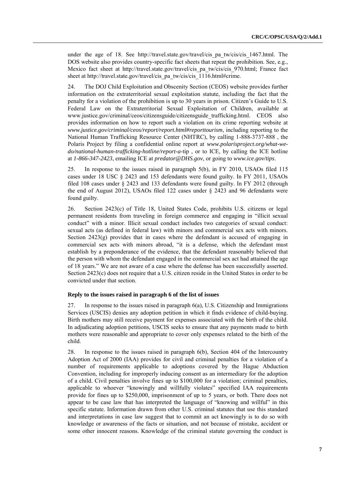under the age of 18. See http://travel.state.gov/travel/cis pa tw/cis/cis 1467.html. The DOS website also provides country-specific fact sheets that repeat the prohibition. See, e.g., Mexico fact sheet at http://travel.state.gov/travel/cis\_pa\_tw/cis/cis\_970.html; France fact sheet at http://travel.state.gov/travel/cis\_pa\_tw/cis/cis\_1116.html#crime.

24. The DOJ Child Exploitation and Obscenity Section (CEOS) website provides further information on the extraterritorial sexual exploitation statute, including the fact that the penalty for a violation of the prohibition is up to 30 years in prison. Citizen's Guide to U.S. Federal Law on the Extraterritorial Sexual Exploitation of Children, available at www.justice.gov/criminal/ceos/citizensguide/citizensguide\_trafficking.html. CEOS also provides information on how to report such a violation on its crime reporting website at *www.justice.gov/criminal/ceos/report/report.html#reporttourism*, including reporting to the National Human Trafficking Resource Center (NHTRC), by calling 1-888-3737-888 , the Polaris Project by filing a confidential online report at *www.polarisproject.org/what-wedo/national-human-trafficking-hotline/report-a-*tip , or to ICE, by calling the ICE hotline at *1-866-347-2423*, emailing ICE at *predator@DHS.gov*, or going to *www.ice.gov/tips*.

25. In response to the issues raised in paragraph 5(b), in FY 2010, USAOs filed 115 cases under 18 USC § 2423 and 153 defendants were found guilty. In FY 2011, USAOs filed 108 cases under § 2423 and 133 defendants were found guilty. In FY 2012 (through the end of August 2012), USAOs filed 122 cases under § 2423 and 96 defendants were found guilty.

26. Section 2423(c) of Title 18, United States Code, prohibits U.S. citizens or legal permanent residents from traveling in foreign commerce and engaging in "illicit sexual conduct" with a minor. Illicit sexual conduct includes two categories of sexual conduct: sexual acts (as defined in federal law) with minors and commercial sex acts with minors. Section 2423(g) provides that in cases where the defendant is accused of engaging in commercial sex acts with minors abroad, "it is a defense, which the defendant must establish by a preponderance of the evidence, that the defendant reasonably believed that the person with whom the defendant engaged in the commercial sex act had attained the age of 18 years.‖ We are not aware of a case where the defense has been successfully asserted. Section 2423(c) does not require that a U.S. citizen reside in the United States in order to be convicted under that section.

## **Reply to the issues raised in paragraph 6 of the list of issues**

27. In response to the issues raised in paragraph 6(a), U.S. Citizenship and Immigrations Services (USCIS) denies any adoption petition in which it finds evidence of child-buying. Birth mothers may still receive payment for expenses associated with the birth of the child. In adjudicating adoption petitions, USCIS seeks to ensure that any payments made to birth mothers were reasonable and appropriate to cover only expenses related to the birth of the child.

28. In response to the issues raised in paragraph 6(b), Section 404 of the Intercountry Adoption Act of 2000 (IAA) provides for civil and criminal penalties for a violation of a number of requirements applicable to adoptions covered by the Hague Abduction Convention, including for improperly inducing consent as an intermediary for the adoption of a child. Civil penalties involve fines up to \$100,000 for a violation; criminal penalties, applicable to whoever "knowingly and willfully violates" specified IAA requirements provide for fines up to \$250,000, imprisonment of up to 5 years, or both. There does not appear to be case law that has interpreted the language of "knowing and willful" in this specific statute. Information drawn from other U.S. criminal statutes that use this standard and interpretations in case law suggest that to commit an act knowingly is to do so with knowledge or awareness of the facts or situation, and not because of mistake, accident or some other innocent reasons. Knowledge of the criminal statute governing the conduct is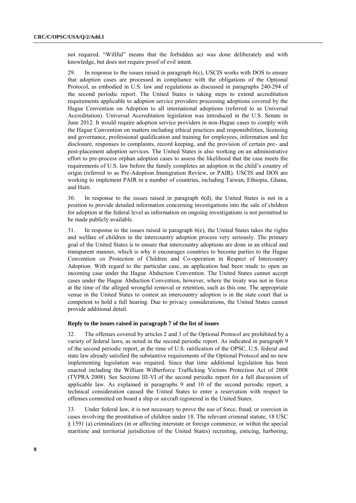not required. "Willful" means that the forbidden act was done deliberately and with knowledge, but does not require proof of evil intent.

29. In response to the issues raised in paragraph 6(c), USCIS works with DOS to ensure that adoption cases are processed in compliance with the obligations of the Optional Protocol, as embodied in U.S. law and regulations as discussed in paragraphs 240-294 of the second periodic report. The United States is taking steps to extend accreditation requirements applicable to adoption service providers processing adoptions covered by the Hague Convention on Adoption to all international adoptions (referred to as Universal Accreditation). Universal Accreditation legislation was introduced in the U.S. Senate in June 2012. It would require adoption service providers in non-Hague cases to comply with the Hague Convention on matters including ethical practices and responsibilities, licensing and governance, professional qualification and training for employees, information and fee disclosure, responses to complaints, record keeping, and the provision of certain pre- and post-placement adoption services. The United States is also working on an administrative effort to pre-process orphan adoption cases to assess the likelihood that the case meets the requirements of U.S. law before the family completes an adoption in the child's country of origin (referred to as Pre-Adoption Immigration Review, or PAIR). USCIS and DOS are working to implement PAIR in a number of countries, including Taiwan, Ethiopia, Ghana, and Haiti.

30. In response to the issues raised in paragraph 6(d), the United States is not in a position to provide detailed information concerning investigations into the sale of children for adoption at the federal level as information on ongoing investigations is not permitted to be made publicly available.

31. In response to the issues raised in paragraph 6(e), the United States takes the rights and welfare of children in the intercountry adoption process very seriously. The primary goal of the United States is to ensure that intercountry adoptions are done in an ethical and transparent manner, which is why it encourages countries to become parties to the Hague Convention on Protection of Children and Co-operation in Respect of Intercountry Adoption. With regard to the particular case, an application had been made to open an incoming case under the Hague Abduction Convention. The United States cannot accept cases under the Hague Abduction Convention, however, where the treaty was not in force at the time of the alleged wrongful removal or retention, such as this one. The appropriate venue in the United States to contest an intercountry adoption is in the state court that is competent to hold a full hearing. Due to privacy considerations, the United States cannot provide additional detail.

## **Reply to the issues raised in paragraph 7 of the list of issues**

32. The offenses covered by articles 2 and 3 of the Optional Protocol are prohibited by a variety of federal laws, as noted in the second periodic report. As indicated in paragraph 9 of the second periodic report, at the time of U.S. ratification of the OPSC, U.S. federal and state law already satisfied the substantive requirements of the Optional Protocol and no new implementing legislation was required. Since that time additional legislation has been enacted including the William Wilberforce Trafficking Victims Protection Act of 2008 (TVPRA 2008). See Sections III-VI of the second periodic report for a full discussion of applicable law. As explained in paragraphs 9 and 10 of the second periodic report, a technical consideration caused the United States to enter a reservation with respect to offenses committed on board a ship or aircraft registered in the United States.

33. Under federal law, it is not necessary to prove the use of force, fraud, or coercion in cases involving the prostitution of children under 18. The relevant criminal statute, 18 USC § 1591 (a) criminalizes (in or affecting interstate or foreign commerce, or within the special maritime and territorial jurisdiction of the United States) recruiting, enticing, harboring,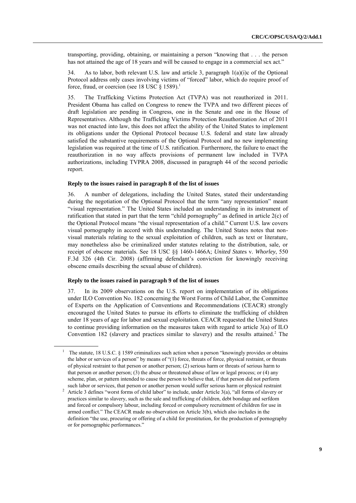transporting, providing, obtaining, or maintaining a person "knowing that  $\ldots$  the person has not attained the age of 18 years and will be caused to engage in a commercial sex act."

34. As to labor, both relevant U.S. law and article 3, paragraph  $1(a)(i)c$  of the Optional Protocol address only cases involving victims of "forced" labor, which do require proof of force, fraud, or coercion (see 18 USC  $\S$  1589).<sup>1</sup>

35. The Trafficking Victims Protection Act (TVPA) was not reauthorized in 2011. President Obama has called on Congress to renew the TVPA and two different pieces of draft legislation are pending in Congress, one in the Senate and one in the House of Representatives. Although the Trafficking Victims Protection Reauthorization Act of 2011 was not enacted into law, this does not affect the ability of the United States to implement its obligations under the Optional Protocol because U.S. federal and state law already satisfied the substantive requirements of the Optional Protocol and no new implementing legislation was required at the time of U.S. ratification. Furthermore, the failure to enact the reauthorization in no way affects provisions of permanent law included in TVPA authorizations, including TVPRA 2008, discussed in paragraph 44 of the second periodic report.

#### **Reply to the issues raised in paragraph 8 of the list of issues**

36. A number of delegations, including the United States, stated their understanding during the negotiation of the Optional Protocol that the term "any representation" meant "visual representation." The United States included an understanding in its instrument of ratification that stated in part that the term "child pornography" as defined in article  $2(c)$  of the Optional Protocol means "the visual representation of a child." Current U.S. law covers visual pornography in accord with this understanding. The United States notes that nonvisual materials relating to the sexual exploitation of children, such as text or literature, may nonetheless also be criminalized under statutes relating to the distribution, sale, or receipt of obscene materials. See 18 USC §§ 1460-1466A; *United State*s v. *Whorley*, 550 F.3d 326 (4th Cir. 2008) (affirming defendant's conviction for knowingly receiving obscene emails describing the sexual abuse of children).

## **Reply to the issues raised in paragraph 9 of the list of issues**

37. In its 2009 observations on the U.S. report on implementation of its obligations under ILO Convention No. 182 concerning the Worst Forms of Child Labor, the Committee of Experts on the Application of Conventions and Recommendations (CEACR) strongly encouraged the United States to pursue its efforts to eliminate the trafficking of children under 18 years of age for labor and sexual exploitation. CEACR requested the United States to continue providing information on the measures taken with regard to article  $3(a)$  of ILO Convention 182 (slavery and practices similar to slavery) and the results attained.<sup>2</sup> The

The statute, 18 U.S.C.  $\S$  1589 criminalizes such action when a person "knowingly provides or obtains the labor or services of a person" by means of "(1) force, threats of force, physical restraint, or threats of physical restraint to that person or another person; (2) serious harm or threats of serious harm to that person or another person; (3) the abuse or threatened abuse of law or legal process; or (4) any scheme, plan, or pattern intended to cause the person to believe that, if that person did not perform such labor or services, that person or another person would suffer serious harm or physical restraint

<sup>&</sup>lt;sup>2</sup> Article 3 defines "worst forms of child labor" to include, under Article 3(a), "all forms of slavery or practices similar to slavery, such as the sale and trafficking of children, debt bondage and serfdom and forced or compulsory labour, including forced or compulsory recruitment of children for use in armed conflict." The CEACR made no observation on Article 3(b), which also includes in the definition "the use, procuring or offering of a child for prostitution, for the production of pornography or for pornographic performances."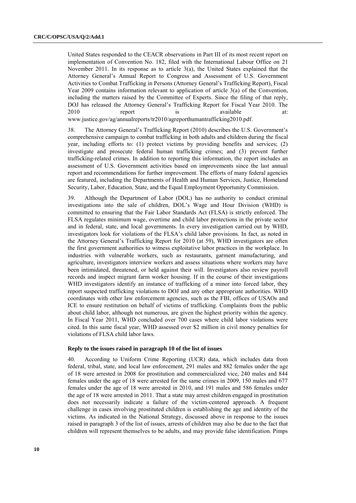United States responded to the CEACR observations in Part III of its most recent report on implementation of Convention No. 182, filed with the International Labour Office on 21 November 2011. In its response as to article 3(a), the United States explained that the Attorney General's Annual Report to Congress and Assessment of U.S. Government Activities to Combat Trafficking in Persons (Attorney General's Trafficking Report), Fiscal Year 2009 contains information relevant to application of article 3(a) of the Convention, including the matters raised by the Committee of Experts. Since the filing of that reply, DOJ has released the Attorney General's Trafficking Report for Fiscal Year 2010. The 2010 **report** is available at: www.justice.gov/ag/annualreports/tr2010/agreporthumantrafficking2010.pdf.

38. The Attorney General's Trafficking Report (2010) describes the U.S. Government's comprehensive campaign to combat trafficking in both adults and children during the fiscal year, including efforts to: (1) protect victims by providing benefits and services; (2) investigate and prosecute federal human trafficking crimes; and (3) prevent further trafficking-related crimes. In addition to reporting this information, the report includes an assessment of U.S. Government activities based on improvements since the last annual report and recommendations for further improvement. The efforts of many federal agencies are featured, including the Departments of Health and Human Services, Justice, Homeland Security, Labor, Education, State, and the Equal Employment Opportunity Commission.

39. Although the Department of Labor (DOL) has no authority to conduct criminal investigations into the sale of children, DOL's Wage and Hour Division (WHD) is committed to ensuring that the Fair Labor Standards Act (FLSA) is strictly enforced. The FLSA regulates minimum wage, overtime and child labor protections in the private sector and in federal, state, and local governments. In every investigation carried out by WHD, investigators look for violations of the FLSA's child labor provisions. In fact, as noted in the Attorney General's Trafficking Report for 2010 (at 59), WHD investigators are often the first government authorities to witness exploitative labor practices in the workplace. In industries with vulnerable workers, such as restaurants, garment manufacturing, and agriculture, investigators interview workers and assess situations where workers may have been intimidated, threatened, or held against their will. Investigators also review payroll records and inspect migrant farm worker housing. If in the course of their investigations WHD investigators identify an instance of trafficking of a minor into forced labor, they report suspected trafficking violations to DOJ and any other appropriate authorities. WHD coordinates with other law enforcement agencies, such as the FBI, offices of USAOs and ICE to ensure restitution on behalf of victims of trafficking. Complaints from the public about child labor, although not numerous, are given the highest priority within the agency. In Fiscal Year 2011, WHD concluded over 700 cases where child labor violations were cited. In this same fiscal year, WHD assessed over \$2 million in civil money penalties for violations of FLSA child labor laws.

## **Reply to the issues raised in paragraph 10 of the list of issues**

40. According to Uniform Crime Reporting (UCR) data, which includes data from federal, tribal, state, and local law enforcement, 291 males and 882 females under the age of 18 were arrested in 2008 for prostitution and commercialized vice, 240 males and 844 females under the age of 18 were arrested for the same crimes in 2009, 150 males and 677 females under the age of 18 were arrested in 2010, and 191 males and 586 females under the age of 18 were arrested in 2011. That a state may arrest children engaged in prostitution does not necessarily indicate a failure of the victim-centered approach. A frequent challenge in cases involving prostituted children is establishing the age and identity of the victims. As indicated in the National Strategy, discussed above in response to the issues raised in paragraph 3 of the list of issues, arrests of children may also be due to the fact that children will represent themselves to be adults, and may provide false identification. Pimps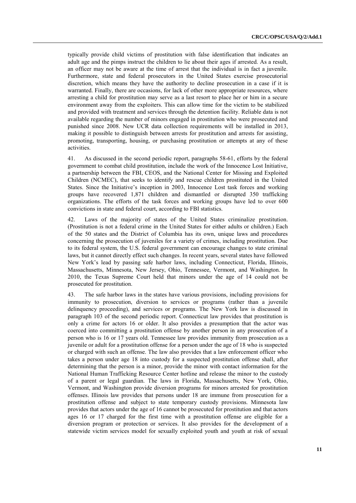typically provide child victims of prostitution with false identification that indicates an adult age and the pimps instruct the children to lie about their ages if arrested. As a result, an officer may not be aware at the time of arrest that the individual is in fact a juvenile. Furthermore, state and federal prosecutors in the United States exercise prosecutorial discretion, which means they have the authority to decline prosecution in a case if it is warranted. Finally, there are occasions, for lack of other more appropriate resources, where arresting a child for prostitution may serve as a last resort to place her or him in a secure environment away from the exploiters. This can allow time for the victim to be stabilized and provided with treatment and services through the detention facility. Reliable data is not available regarding the number of minors engaged in prostitution who were prosecuted and punished since 2008. New UCR data collection requirements will be installed in 2013, making it possible to distinguish between arrests for prostitution and arrests for assisting, promoting, transporting, housing, or purchasing prostitution or attempts at any of these activities.

41. As discussed in the second periodic report, paragraphs 58-61, efforts by the federal government to combat child prostitution, include the work of the Innocence Lost Initiative, a partnership between the FBI, CEOS, and the National Center for Missing and Exploited Children (NCMEC), that seeks to identify and rescue children prostituted in the United States. Since the Initiative's inception in 2003, Innocence Lost task forces and working groups have recovered 1,871 children and dismantled or disrupted 350 trafficking organizations. The efforts of the task forces and working groups have led to over 600 convictions in state and federal court, according to FBI statistics.

42. Laws of the majority of states of the United States criminalize prostitution. (Prostitution is not a federal crime in the United States for either adults or children.) Each of the 50 states and the District of Columbia has its own, unique laws and procedures concerning the prosecution of juveniles for a variety of crimes, including prostitution. Due to its federal system, the U.S. federal government can encourage changes to state criminal laws, but it cannot directly effect such changes. In recent years, several states have followed New York's lead by passing safe harbor laws, including Connecticut, Florida, Illinois, Massachusetts, Minnesota, New Jersey, Ohio, Tennessee, Vermont, and Washington. In 2010, the Texas Supreme Court held that minors under the age of 14 could not be prosecuted for prostitution.

43. The safe harbor laws in the states have various provisions, including provisions for immunity to prosecution, diversion to services or programs (rather than a juvenile delinquency proceeding), and services or programs. The New York law is discussed in paragraph 103 of the second periodic report. Connecticut law provides that prostitution is only a crime for actors 16 or older. It also provides a presumption that the actor was coerced into committing a prostitution offense by another person in any prosecution of a person who is 16 or 17 years old. Tennessee law provides immunity from prosecution as a juvenile or adult for a prostitution offense for a person under the age of 18 who is suspected or charged with such an offense. The law also provides that a law enforcement officer who takes a person under age 18 into custody for a suspected prostitution offense shall, after determining that the person is a minor, provide the minor with contact information for the National Human Trafficking Resource Center hotline and release the minor to the custody of a parent or legal guardian. The laws in Florida, Massachusetts, New York, Ohio, Vermont, and Washington provide diversion programs for minors arrested for prostitution offenses. Illinois law provides that persons under 18 are immune from prosecution for a prostitution offense and subject to state temporary custody provisions. Minnesota law provides that actors under the age of 16 cannot be prosecuted for prostitution and that actors ages 16 or 17 charged for the first time with a prostitution offense are eligible for a diversion program or protection or services. It also provides for the development of a statewide victim services model for sexually exploited youth and youth at risk of sexual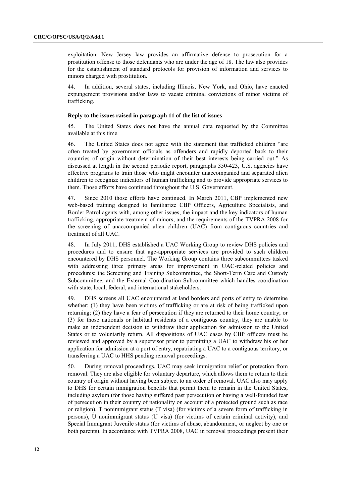exploitation. New Jersey law provides an affirmative defense to prosecution for a prostitution offense to those defendants who are under the age of 18. The law also provides for the establishment of standard protocols for provision of information and services to minors charged with prostitution.

44. In addition, several states, including Illinois, New York, and Ohio, have enacted expungement provisions and/or laws to vacate criminal convictions of minor victims of trafficking.

#### **Reply to the issues raised in paragraph 11 of the list of issues**

45. The United States does not have the annual data requested by the Committee available at this time.

46. The United States does not agree with the statement that trafficked children "are often treated by government officials as offenders and rapidly deported back to their countries of origin without determination of their best interests being carried out." As discussed at length in the second periodic report, paragraphs 350-423, U.S. agencies have effective programs to train those who might encounter unaccompanied and separated alien children to recognize indicators of human trafficking and to provide appropriate services to them. Those efforts have continued throughout the U.S. Government.

47. Since 2010 those efforts have continued. In March 2011, CBP implemented new web-based training designed to familiarize CBP Officers, Agriculture Specialists, and Border Patrol agents with, among other issues, the impact and the key indicators of human trafficking, appropriate treatment of minors, and the requirements of the TVPRA 2008 for the screening of unaccompanied alien children (UAC) from contiguous countries and treatment of all UAC.

48. In July 2011, DHS established a UAC Working Group to review DHS policies and procedures and to ensure that age-appropriate services are provided to such children encountered by DHS personnel. The Working Group contains three subcommittees tasked with addressing three primary areas for improvement in UAC-related policies and procedures: the Screening and Training Subcommittee, the Short-Term Care and Custody Subcommittee, and the External Coordination Subcommittee which handles coordination with state, local, federal, and international stakeholders.

49. DHS screens all UAC encountered at land borders and ports of entry to determine whether: (1) they have been victims of trafficking or are at risk of being trafficked upon returning; (2) they have a fear of persecution if they are returned to their home country; or (3) for those nationals or habitual residents of a contiguous country, they are unable to make an independent decision to withdraw their application for admission to the United States or to voluntarily return. All dispositions of UAC cases by CBP officers must be reviewed and approved by a supervisor prior to permitting a UAC to withdraw his or her application for admission at a port of entry, repatriating a UAC to a contiguous territory, or transferring a UAC to HHS pending removal proceedings.

50. During removal proceedings, UAC may seek immigration relief or protection from removal. They are also eligible for voluntary departure, which allows them to return to their country of origin without having been subject to an order of removal. UAC also may apply to DHS for certain immigration benefits that permit them to remain in the United States, including asylum (for those having suffered past persecution or having a well-founded fear of persecution in their country of nationality on account of a protected ground such as race or religion), T nonimmigrant status (T visa) (for victims of a severe form of trafficking in persons), U nonimmigrant status (U visa) (for victims of certain criminal activity), and Special Immigrant Juvenile status (for victims of abuse, abandonment, or neglect by one or both parents). In accordance with TVPRA 2008, UAC in removal proceedings present their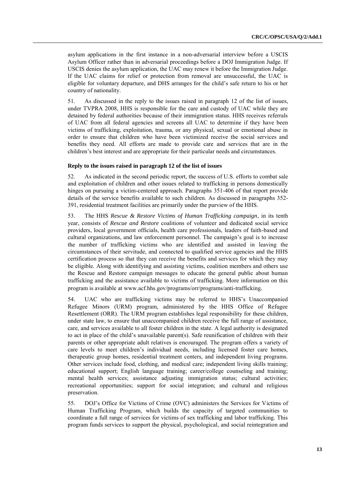asylum applications in the first instance in a non-adversarial interview before a USCIS Asylum Officer rather than in adversarial proceedings before a DOJ Immigration Judge. If USCIS denies the asylum application, the UAC may renew it before the Immigration Judge. If the UAC claims for relief or protection from removal are unsuccessful, the UAC is eligible for voluntary departure, and DHS arranges for the child's safe return to his or her country of nationality.

51. As discussed in the reply to the issues raised in paragraph 12 of the list of issues, under TVPRA 2008, HHS is responsible for the care and custody of UAC while they are detained by federal authorities because of their immigration status. HHS receives referrals of UAC from all federal agencies and screens all UAC to determine if they have been victims of trafficking, exploitation, trauma, or any physical, sexual or emotional abuse in order to ensure that children who have been victimized receive the social services and benefits they need. All efforts are made to provide care and services that are in the children's best interest and are appropriate for their particular needs and circumstances.

### **Reply to the issues raised in paragraph 12 of the list of issues**

52. As indicated in the second periodic report, the success of U.S. efforts to combat sale and exploitation of children and other issues related to trafficking in persons domestically hinges on pursuing a victim-centered approach. Paragraphs 351-406 of that report provide details of the service benefits available to such children. As discussed in paragraphs 352- 391, residential treatment facilities are primarily under the purview of the HHS.

53. The HHS *Rescue & Restore Victims of Human Trafficking campaign*, in its tenth year, consists of *Rescue and Restore* coalitions of volunteer and dedicated social service providers, local government officials, health care professionals, leaders of faith-based and cultural organizations, and law enforcement personnel. The campaign's goal is to increase the number of trafficking victims who are identified and assisted in leaving the circumstances of their servitude, and connected to qualified service agencies and the HHS certification process so that they can receive the benefits and services for which they may be eligible. Along with identifying and assisting victims, coalition members and others use the Rescue and Restore campaign messages to educate the general public about human trafficking and the assistance available to victims of trafficking. More information on this program is available at www.acf.hhs.gov/programs/orr/programs/anti-trafficking.

54. UAC who are trafficking victims may be referred to HHS's Unaccompanied Refugee Minors (URM) program, administered by the HHS Office of Refugee Resettlement (ORR). The URM program establishes legal responsibility for these children, under state law, to ensure that unaccompanied children receive the full range of assistance, care, and services available to all foster children in the state. A legal authority is designated to act in place of the child's unavailable parent(s). Safe reunification of children with their parents or other appropriate adult relatives is encouraged. The program offers a variety of care levels to meet children's individual needs, including licensed foster care homes, therapeutic group homes, residential treatment centers, and independent living programs. Other services include food, clothing, and medical care; independent living skills training; educational support; English language training; career/college counseling and training; mental health services; assistance adjusting immigration status; cultural activities; recreational opportunities; support for social integration; and cultural and religious preservation.

55. DOJ's Office for Victims of Crime (OVC) administers the Services for Victims of Human Trafficking Program, which builds the capacity of targeted communities to coordinate a full range of services for victims of sex trafficking and labor trafficking. This program funds services to support the physical, psychological, and social reintegration and